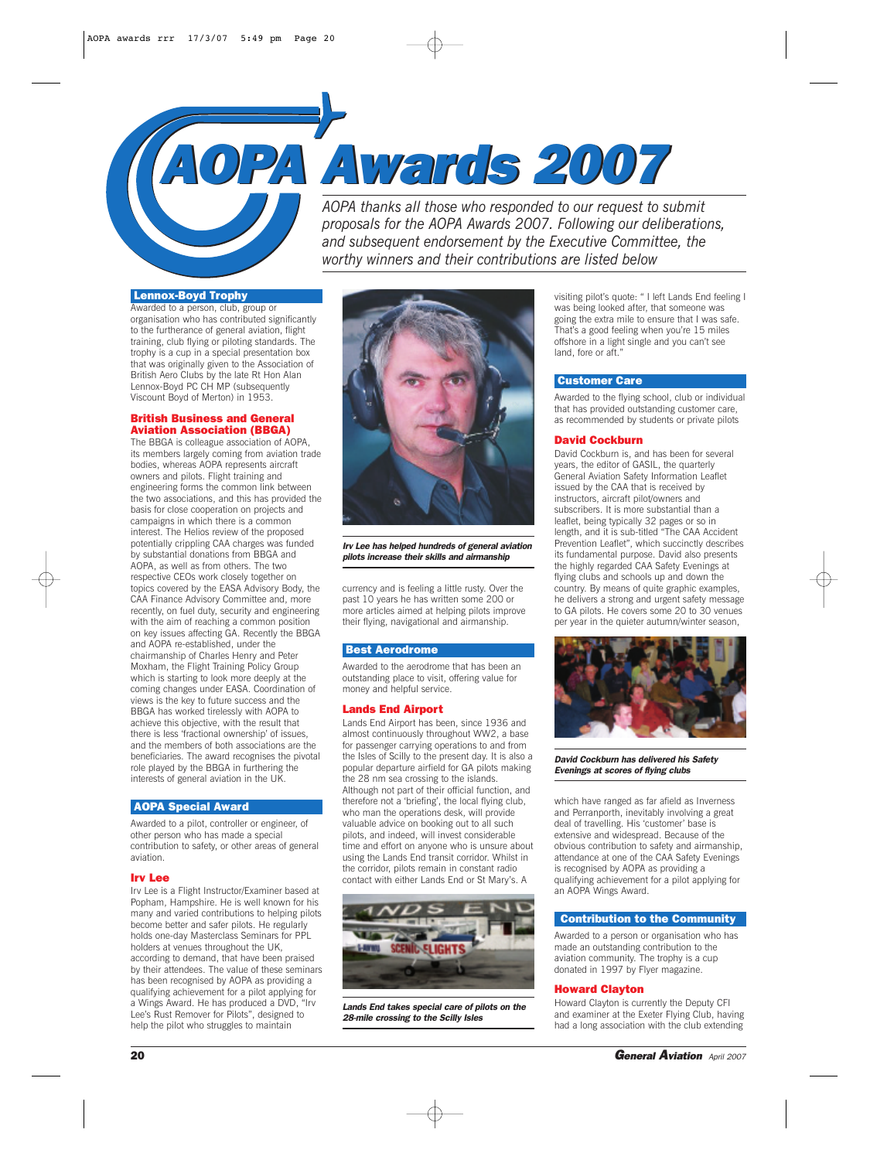# *AOPA Awards 2007 AOPA Awards 2007*

*AOPA thanks all those who responded to our request to submit proposals for the AOPA Awards 2007. Following our deliberations, and subsequent endorsement by the Executive Committee, the worthy winners and their contributions are listed below*

# Lennox-Boyd Trophy

Awarded to a person, club, group or organisation who has contributed significantly to the furtherance of general aviation, flight training, club flying or piloting standards. The trophy is a cup in a special presentation box that was originally given to the Association of British Aero Clubs by the late Rt Hon Alan Lennox-Boyd PC CH MP (subsequently Viscount Boyd of Merton) in 1953.

# British Business and General Aviation Association (BBGA)

The BBGA is colleague association of AOPA, its members largely coming from aviation trade bodies, whereas AOPA represents aircraft owners and pilots. Flight training and engineering forms the common link between the two associations, and this has provided the basis for close cooperation on projects and campaigns in which there is a common interest. The Helios review of the proposed potentially crippling CAA charges was funded by substantial donations from BBGA and AOPA, as well as from others. The two respective CEOs work closely together on topics covered by the EASA Advisory Body, the CAA Finance Advisory Committee and, more recently, on fuel duty, security and engineering with the aim of reaching a common position on key issues affecting GA. Recently the BBGA and AOPA re-established, under the chairmanship of Charles Henry and Peter Moxham, the Flight Training Policy Group which is starting to look more deeply at the coming changes under EASA. Coordination of views is the key to future success and the BBGA has worked tirelessly with AOPA to achieve this objective, with the result that there is less 'fractional ownership' of issues, and the members of both associations are the beneficiaries. The award recognises the pivotal role played by the BBGA in furthering the interests of general aviation in the UK.

# AOPA Special Award

Awarded to a pilot, controller or engineer, of other person who has made a special contribution to safety, or other areas of general aviation.

### Irv Lee

Irv Lee is a Flight Instructor/Examiner based at Popham, Hampshire. He is well known for his many and varied contributions to helping pilots become better and safer pilots. He regularly holds one-day Masterclass Seminars for PPL holders at venues throughout the UK, according to demand, that have been praised by their attendees. The value of these seminars has been recognised by AOPA as providing a qualifying achievement for a pilot applying for a Wings Award. He has produced a DVD, "Irv Lee's Rust Remover for Pilots", designed to help the pilot who struggles to maintain



*Irv Lee has helped hundreds of general aviation pilots increase their skills and airmanship*

currency and is feeling a little rusty. Over the past 10 years he has written some 200 or more articles aimed at helping pilots improve their flying, navigational and airmanship.

# Best Aerodrome

Awarded to the aerodrome that has been an outstanding place to visit, offering value for money and helpful service.

## Lands End Airport

Lands End Airport has been, since 1936 and almost continuously throughout WW2, a base for passenger carrying operations to and from the Isles of Scilly to the present day. It is also a popular departure airfield for GA pilots making the 28 nm sea crossing to the islands. Although not part of their official function, and therefore not a 'briefing', the local flying club, who man the operations desk, will provide valuable advice on booking out to all such pilots, and indeed, will invest considerable time and effort on anyone who is unsure about using the Lands End transit corridor. Whilst in the corridor, pilots remain in constant radio contact with either Lands End or St Mary's. A



*Lands End takes special care of pilots on the 28-mile crossing to the Scilly Isles*

visiting pilot's quote: " I left Lands End feeling I was being looked after, that someone was going the extra mile to ensure that I was safe. That's a good feeling when you're 15 miles offshore in a light single and you can't see land, fore or aft."

# Customer Care

Awarded to the flying school, club or individual that has provided outstanding customer care, as recommended by students or private pilots

### David Cockburn

David Cockburn is, and has been for several years, the editor of GASIL, the quarterly General Aviation Safety Information Leaflet issued by the CAA that is received by instructors, aircraft pilot/owners and subscribers. It is more substantial than a leaflet, being typically 32 pages or so in length, and it is sub-titled "The CAA Accident Prevention Leaflet", which succinctly describes its fundamental purpose. David also presents the highly regarded CAA Safety Evenings at flying clubs and schools up and down the country. By means of quite graphic examples, he delivers a strong and urgent safety message to GA pilots. He covers some 20 to 30 venues per year in the quieter autumn/winter season



*David Cockburn has delivered his Safety Evenings at scores of flying clubs*

which have ranged as far afield as Inverness and Perranporth, inevitably involving a great deal of travelling. His 'customer' base is extensive and widespread. Because of the obvious contribution to safety and airmanship, attendance at one of the CAA Safety Evenings is recognised by AOPA as providing a qualifying achievement for a pilot applying for an AOPA Wings Award.

### Contribution to the Community

Awarded to a person or organisation who has made an outstanding contribution to the aviation community. The trophy is a cup donated in 1997 by Flyer magazine.

### Howard Clayton

Howard Clayton is currently the Deputy CFI and examiner at the Exeter Flying Club, having had a long association with the club extending